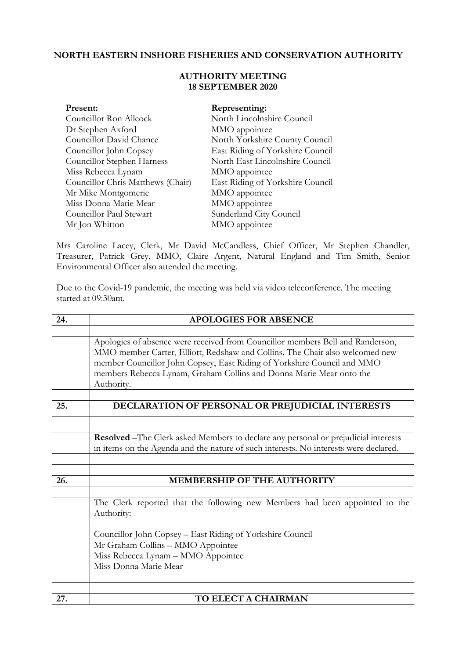## **NORTH EASTERN INSHORE FISHERIES AND CONSERVATION AUTHORITY**

## **AUTHORITY MEETING 18 SEPTEMBER 2020**

| Present:                          | Representing:                    |
|-----------------------------------|----------------------------------|
| Councillor Ron Allcock            | North Lincolnshire Council       |
| Dr Stephen Axford                 | MMO appointee                    |
| Councillor David Chance           | North Yorkshire County Council   |
| Councillor John Copsey            | East Riding of Yorkshire Council |
| Councillor Stephen Harness        | North East Lincolnshire Council  |
| Miss Rebecca Lynam                | MMO appointee                    |
| Councillor Chris Matthews (Chair) | East Riding of Yorkshire Council |
| Mr Mike Montgomerie               | MMO appointee                    |
| Miss Donna Marie Mear             | MMO appointee                    |
| Councillor Paul Stewart           | Sunderland City Council          |
| Mr Jon Whitton                    | MMO appointee                    |

Mrs Caroline Lacey, Clerk, Mr David McCandless, Chief Officer, Mr Stephen Chandler, Treasurer, Patrick Grey, MMO, Claire Argent, Natural England and Tim Smith, Senior Environmental Officer also attended the meeting.

Due to the Covid-19 pandemic, the meeting was held via video teleconference. The meeting started at 09:30am.

| 24. | <b>APOLOGIES FOR ABSENCE</b>                                                                                                                                                                                                                                                                                                   |
|-----|--------------------------------------------------------------------------------------------------------------------------------------------------------------------------------------------------------------------------------------------------------------------------------------------------------------------------------|
|     |                                                                                                                                                                                                                                                                                                                                |
|     | Apologies of absence were received from Councillor members Bell and Randerson,<br>MMO member Carter, Elliott, Redshaw and Collins. The Chair also welcomed new<br>member Councillor John Copsey, East Riding of Yorkshire Council and MMO<br>members Rebecca Lynam, Graham Collins and Donna Marie Mear onto the<br>Authority. |
|     |                                                                                                                                                                                                                                                                                                                                |
| 25. | DECLARATION OF PERSONAL OR PREJUDICIAL INTERESTS                                                                                                                                                                                                                                                                               |
|     |                                                                                                                                                                                                                                                                                                                                |
|     | Resolved -The Clerk asked Members to declare any personal or prejudicial interests                                                                                                                                                                                                                                             |
|     | in items on the Agenda and the nature of such interests. No interests were declared.                                                                                                                                                                                                                                           |
|     |                                                                                                                                                                                                                                                                                                                                |
|     |                                                                                                                                                                                                                                                                                                                                |
| 26. | <b>MEMBERSHIP OF THE AUTHORITY</b>                                                                                                                                                                                                                                                                                             |
|     |                                                                                                                                                                                                                                                                                                                                |
|     | The Clerk reported that the following new Members had been appointed to the<br>Authority:                                                                                                                                                                                                                                      |
|     | Councillor John Copsey – East Riding of Yorkshire Council                                                                                                                                                                                                                                                                      |
|     | Mr Graham Collins - MMO Appointee                                                                                                                                                                                                                                                                                              |
|     | Miss Rebecca Lynam - MMO Appointee                                                                                                                                                                                                                                                                                             |
|     | Miss Donna Marie Mear                                                                                                                                                                                                                                                                                                          |
|     |                                                                                                                                                                                                                                                                                                                                |
|     |                                                                                                                                                                                                                                                                                                                                |
| 27. | TO ELECT A CHAIRMAN                                                                                                                                                                                                                                                                                                            |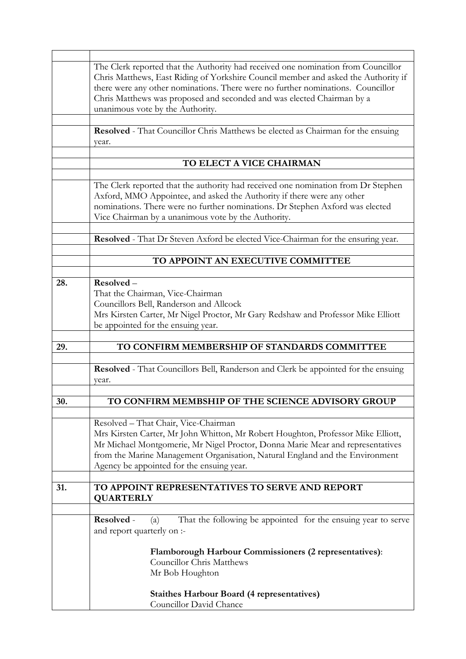|     | The Clerk reported that the Authority had received one nomination from Councillor<br>Chris Matthews, East Riding of Yorkshire Council member and asked the Authority if<br>there were any other nominations. There were no further nominations. Councillor<br>Chris Matthews was proposed and seconded and was elected Chairman by a<br>unanimous vote by the Authority. |
|-----|--------------------------------------------------------------------------------------------------------------------------------------------------------------------------------------------------------------------------------------------------------------------------------------------------------------------------------------------------------------------------|
|     | Resolved - That Councillor Chris Matthews be elected as Chairman for the ensuing<br>year.                                                                                                                                                                                                                                                                                |
|     | TO ELECT A VICE CHAIRMAN                                                                                                                                                                                                                                                                                                                                                 |
|     | The Clerk reported that the authority had received one nomination from Dr Stephen<br>Axford, MMO Appointee, and asked the Authority if there were any other<br>nominations. There were no further nominations. Dr Stephen Axford was elected<br>Vice Chairman by a unanimous vote by the Authority.                                                                      |
|     | Resolved - That Dr Steven Axford be elected Vice-Chairman for the ensuring year.                                                                                                                                                                                                                                                                                         |
|     | TO APPOINT AN EXECUTIVE COMMITTEE                                                                                                                                                                                                                                                                                                                                        |
| 28. | Resolved-<br>That the Chairman, Vice-Chairman<br>Councillors Bell, Randerson and Allcock<br>Mrs Kirsten Carter, Mr Nigel Proctor, Mr Gary Redshaw and Professor Mike Elliott<br>be appointed for the ensuing year.                                                                                                                                                       |
|     |                                                                                                                                                                                                                                                                                                                                                                          |
| 29. | TO CONFIRM MEMBERSHIP OF STANDARDS COMMITTEE                                                                                                                                                                                                                                                                                                                             |
|     | Resolved - That Councillors Bell, Randerson and Clerk be appointed for the ensuing<br>year.                                                                                                                                                                                                                                                                              |
| 30. | TO CONFIRM MEMBSHIP OF THE SCIENCE ADVISORY GROUP                                                                                                                                                                                                                                                                                                                        |
|     | Resolved - That Chair, Vice-Chairman<br>Mrs Kirsten Carter, Mr John Whitton, Mr Robert Houghton, Professor Mike Elliott,<br>Mr Michael Montgomerie, Mr Nigel Proctor, Donna Marie Mear and representatives<br>from the Marine Management Organisation, Natural England and the Environment<br>Agency be appointed for the ensuing year.                                  |
| 31. | TO APPOINT REPRESENTATIVES TO SERVE AND REPORT<br><b>QUARTERLY</b>                                                                                                                                                                                                                                                                                                       |
|     | That the following be appointed for the ensuing year to serve<br>Resolved -<br>(a)<br>and report quarterly on :-                                                                                                                                                                                                                                                         |
|     | <b>Flamborough Harbour Commissioners (2 representatives):</b><br><b>Councillor Chris Matthews</b><br>Mr Bob Houghton                                                                                                                                                                                                                                                     |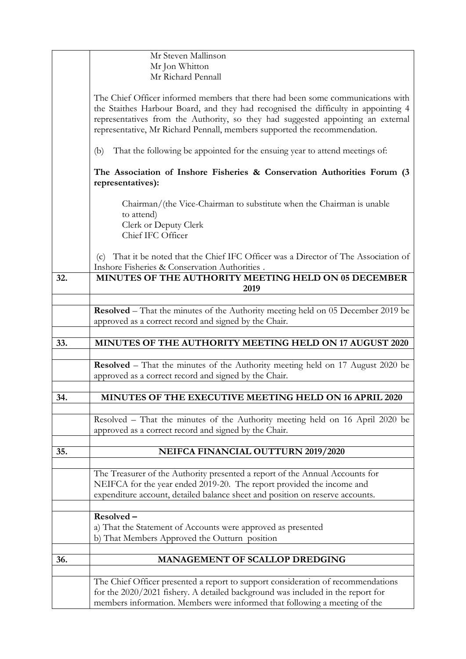|     | Mr Steven Mallinson                                                                                                                                                                                                                                                                                                                    |
|-----|----------------------------------------------------------------------------------------------------------------------------------------------------------------------------------------------------------------------------------------------------------------------------------------------------------------------------------------|
|     | Mr Jon Whitton                                                                                                                                                                                                                                                                                                                         |
|     | Mr Richard Pennall                                                                                                                                                                                                                                                                                                                     |
|     |                                                                                                                                                                                                                                                                                                                                        |
|     | The Chief Officer informed members that there had been some communications with<br>the Staithes Harbour Board, and they had recognised the difficulty in appointing 4<br>representatives from the Authority, so they had suggested appointing an external<br>representative, Mr Richard Pennall, members supported the recommendation. |
|     | That the following be appointed for the ensuing year to attend meetings of:<br>(b)                                                                                                                                                                                                                                                     |
|     | The Association of Inshore Fisheries & Conservation Authorities Forum (3)<br>representatives):                                                                                                                                                                                                                                         |
|     | Chairman/(the Vice-Chairman to substitute when the Chairman is unable<br>to attend)<br>Clerk or Deputy Clerk<br>Chief IFC Officer                                                                                                                                                                                                      |
|     | That it be noted that the Chief IFC Officer was a Director of The Association of<br>(c)<br>Inshore Fisheries & Conservation Authorities.                                                                                                                                                                                               |
| 32. | MINUTES OF THE AUTHORITY MEETING HELD ON 05 DECEMBER                                                                                                                                                                                                                                                                                   |
|     | 2019                                                                                                                                                                                                                                                                                                                                   |
|     |                                                                                                                                                                                                                                                                                                                                        |
|     | <b>Resolved</b> – That the minutes of the Authority meeting held on 05 December 2019 be                                                                                                                                                                                                                                                |
|     |                                                                                                                                                                                                                                                                                                                                        |
|     | approved as a correct record and signed by the Chair.                                                                                                                                                                                                                                                                                  |
|     |                                                                                                                                                                                                                                                                                                                                        |
| 33. | MINUTES OF THE AUTHORITY MEETING HELD ON 17 AUGUST 2020                                                                                                                                                                                                                                                                                |
|     |                                                                                                                                                                                                                                                                                                                                        |
|     | Resolved - That the minutes of the Authority meeting held on 17 August 2020 be                                                                                                                                                                                                                                                         |
|     | approved as a correct record and signed by the Chair.                                                                                                                                                                                                                                                                                  |
|     |                                                                                                                                                                                                                                                                                                                                        |
| 34. | MINUTES OF THE EXECUTIVE MEETING HELD ON 16 APRIL 2020                                                                                                                                                                                                                                                                                 |
|     |                                                                                                                                                                                                                                                                                                                                        |
|     | Resolved – That the minutes of the Authority meeting held on 16 April 2020 be                                                                                                                                                                                                                                                          |
|     | approved as a correct record and signed by the Chair.                                                                                                                                                                                                                                                                                  |
|     |                                                                                                                                                                                                                                                                                                                                        |
| 35. | <b>NEIFCA FINANCIAL OUTTURN 2019/2020</b>                                                                                                                                                                                                                                                                                              |
|     |                                                                                                                                                                                                                                                                                                                                        |
|     | The Treasurer of the Authority presented a report of the Annual Accounts for                                                                                                                                                                                                                                                           |
|     | NEIFCA for the year ended 2019-20. The report provided the income and                                                                                                                                                                                                                                                                  |
|     | expenditure account, detailed balance sheet and position on reserve accounts.                                                                                                                                                                                                                                                          |
|     |                                                                                                                                                                                                                                                                                                                                        |
|     |                                                                                                                                                                                                                                                                                                                                        |
|     | Resolved-                                                                                                                                                                                                                                                                                                                              |
|     | a) That the Statement of Accounts were approved as presented                                                                                                                                                                                                                                                                           |
|     | b) That Members Approved the Outturn position                                                                                                                                                                                                                                                                                          |
|     |                                                                                                                                                                                                                                                                                                                                        |
| 36. | MANAGEMENT OF SCALLOP DREDGING                                                                                                                                                                                                                                                                                                         |
|     |                                                                                                                                                                                                                                                                                                                                        |
|     | The Chief Officer presented a report to support consideration of recommendations                                                                                                                                                                                                                                                       |
|     | for the 2020/2021 fishery. A detailed background was included in the report for                                                                                                                                                                                                                                                        |
|     | members information. Members were informed that following a meeting of the                                                                                                                                                                                                                                                             |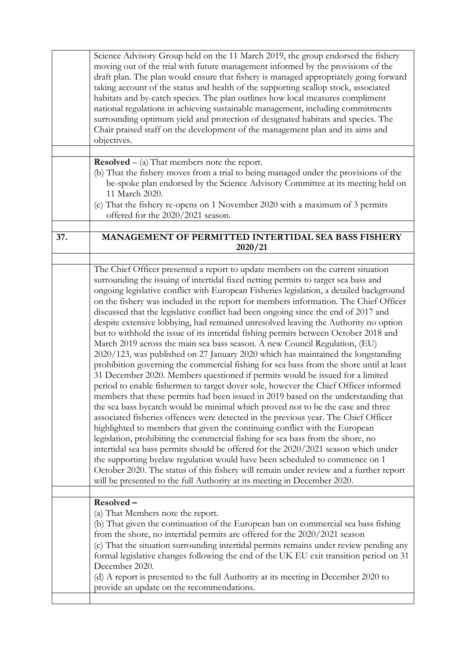|     | Science Advisory Group held on the 11 March 2019, the group endorsed the fishery<br>moving out of the trial with future management informed by the provisions of the<br>draft plan. The plan would ensure that fishery is managed appropriately going forward<br>taking account of the status and health of the supporting scallop stock, associated<br>habitats and by-catch species. The plan outlines how local measures compliment<br>national regulations in achieving sustainable management, including commitments<br>surrounding optimum yield and protection of designated habitats and species. The<br>Chair praised staff on the development of the management plan and its aims and<br>objectives.                                                                                                                                                                                                                                                                                                                                                                                                                                                                                                                                                                                                                                                                                                                                                                                                                                                                                                                                                                                                                                                                                                                                   |
|-----|--------------------------------------------------------------------------------------------------------------------------------------------------------------------------------------------------------------------------------------------------------------------------------------------------------------------------------------------------------------------------------------------------------------------------------------------------------------------------------------------------------------------------------------------------------------------------------------------------------------------------------------------------------------------------------------------------------------------------------------------------------------------------------------------------------------------------------------------------------------------------------------------------------------------------------------------------------------------------------------------------------------------------------------------------------------------------------------------------------------------------------------------------------------------------------------------------------------------------------------------------------------------------------------------------------------------------------------------------------------------------------------------------------------------------------------------------------------------------------------------------------------------------------------------------------------------------------------------------------------------------------------------------------------------------------------------------------------------------------------------------------------------------------------------------------------------------------------------------|
|     |                                                                                                                                                                                                                                                                                                                                                                                                                                                                                                                                                                                                                                                                                                                                                                                                                                                                                                                                                                                                                                                                                                                                                                                                                                                                                                                                                                                                                                                                                                                                                                                                                                                                                                                                                                                                                                                  |
|     | <b>Resolved</b> $-$ (a) That members note the report.<br>(b) That the fishery moves from a trial to being managed under the provisions of the<br>be-spoke plan endorsed by the Science Advisory Committee at its meeting held on<br>11 March 2020.<br>(c) That the fishery re-opens on 1 November 2020 with a maximum of 3 permits<br>offered for the 2020/2021 season.                                                                                                                                                                                                                                                                                                                                                                                                                                                                                                                                                                                                                                                                                                                                                                                                                                                                                                                                                                                                                                                                                                                                                                                                                                                                                                                                                                                                                                                                          |
| 37. | <b>MANAGEMENT OF PERMITTED INTERTIDAL SEA BASS FISHERY</b><br>2020/21                                                                                                                                                                                                                                                                                                                                                                                                                                                                                                                                                                                                                                                                                                                                                                                                                                                                                                                                                                                                                                                                                                                                                                                                                                                                                                                                                                                                                                                                                                                                                                                                                                                                                                                                                                            |
|     |                                                                                                                                                                                                                                                                                                                                                                                                                                                                                                                                                                                                                                                                                                                                                                                                                                                                                                                                                                                                                                                                                                                                                                                                                                                                                                                                                                                                                                                                                                                                                                                                                                                                                                                                                                                                                                                  |
|     | The Chief Officer presented a report to update members on the current situation<br>surrounding the issuing of intertidal fixed netting permits to target sea bass and<br>ongoing legislative conflict with European Fisheries legislation, a detailed background<br>on the fishery was included in the report for members information. The Chief Officer<br>discussed that the legislative conflict had been ongoing since the end of 2017 and<br>despite extensive lobbying, had remained unresolved leaving the Authority no option<br>but to withhold the issue of its intertidal fishing permits between October 2018 and<br>March 2019 across the main sea bass season. A new Council Regulation, (EU)<br>2020/123, was published on 27 January 2020 which has maintained the longstanding<br>prohibition governing the commercial fishing for sea bass from the shore until at least<br>31 December 2020. Members questioned if permits would be issued for a limited<br>period to enable fishermen to target dover sole, however the Chief Officer informed<br>members that these permits had been issued in 2019 based on the understanding that<br>the sea bass by catch would be minimal which proved not to be the case and three<br>associated fisheries offences were detected in the previous year. The Chief Officer<br>highlighted to members that given the continuing conflict with the European<br>legislation, prohibiting the commercial fishing for sea bass from the shore, no<br>intertidal sea bass permits should be offered for the 2020/2021 season which under<br>the supporting byelaw regulation would have been scheduled to commence on 1<br>October 2020. The status of this fishery will remain under review and a further report<br>will be presented to the full Authority at its meeting in December 2020. |
|     | Resolved-<br>(a) That Members note the report.<br>(b) That given the continuation of the European ban on commercial sea bass fishing<br>from the shore, no intertidal permits are offered for the 2020/2021 season<br>(c) That the situation surrounding intertidal permits remains under review pending any<br>formal legislative changes following the end of the UK EU exit transition period on 31<br>December 2020.<br>(d) A report is presented to the full Authority at its meeting in December 2020 to<br>provide an update on the recommendations.                                                                                                                                                                                                                                                                                                                                                                                                                                                                                                                                                                                                                                                                                                                                                                                                                                                                                                                                                                                                                                                                                                                                                                                                                                                                                      |
|     |                                                                                                                                                                                                                                                                                                                                                                                                                                                                                                                                                                                                                                                                                                                                                                                                                                                                                                                                                                                                                                                                                                                                                                                                                                                                                                                                                                                                                                                                                                                                                                                                                                                                                                                                                                                                                                                  |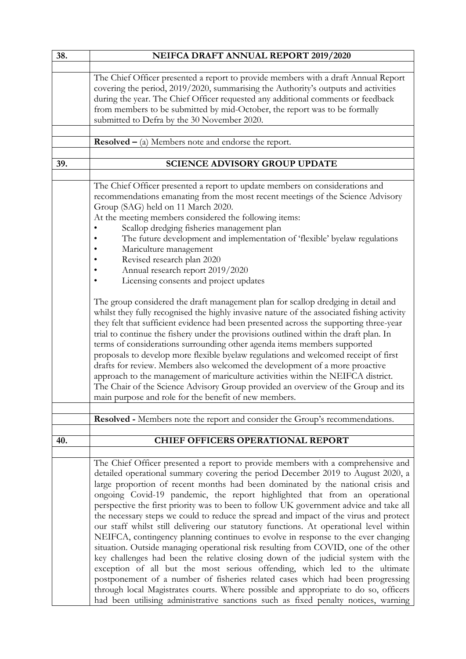| 38. | NEIFCA DRAFT ANNUAL REPORT 2019/2020                                                       |
|-----|--------------------------------------------------------------------------------------------|
|     |                                                                                            |
|     | The Chief Officer presented a report to provide members with a draft Annual Report         |
|     | covering the period, 2019/2020, summarising the Authority's outputs and activities         |
|     | during the year. The Chief Officer requested any additional comments or feedback           |
|     | from members to be submitted by mid-October, the report was to be formally                 |
|     | submitted to Defra by the 30 November 2020.                                                |
|     |                                                                                            |
|     | <b>Resolved</b> $-$ (a) Members note and endorse the report.                               |
|     |                                                                                            |
| 39. | <b>SCIENCE ADVISORY GROUP UPDATE</b>                                                       |
|     |                                                                                            |
|     | The Chief Officer presented a report to update members on considerations and               |
|     | recommendations emanating from the most recent meetings of the Science Advisory            |
|     | Group (SAG) held on 11 March 2020.                                                         |
|     | At the meeting members considered the following items:                                     |
|     | Scallop dredging fisheries management plan                                                 |
|     |                                                                                            |
|     | The future development and implementation of 'flexible' byelaw regulations                 |
|     | Mariculture management                                                                     |
|     | Revised research plan 2020                                                                 |
|     | Annual research report 2019/2020                                                           |
|     | Licensing consents and project updates                                                     |
|     |                                                                                            |
|     | The group considered the draft management plan for scallop dredging in detail and          |
|     | whilst they fully recognised the highly invasive nature of the associated fishing activity |
|     | they felt that sufficient evidence had been presented across the supporting three-year     |
|     | trial to continue the fishery under the provisions outlined within the draft plan. In      |
|     | terms of considerations surrounding other agenda items members supported                   |
|     | proposals to develop more flexible byelaw regulations and welcomed receipt of first        |
|     | drafts for review. Members also welcomed the development of a more proactive               |
|     | approach to the management of mariculture activities within the NEIFCA district.           |
|     | The Chair of the Science Advisory Group provided an overview of the Group and its          |
|     | main purpose and role for the benefit of new members.                                      |
|     |                                                                                            |
|     | Resolved - Members note the report and consider the Group's recommendations.               |
|     |                                                                                            |
| 40. | <b>CHIEF OFFICERS OPERATIONAL REPORT</b>                                                   |
|     |                                                                                            |
|     | The Chief Officer presented a report to provide members with a comprehensive and           |
|     | detailed operational summary covering the period December 2019 to August 2020, a           |
|     | large proportion of recent months had been dominated by the national crisis and            |
|     | ongoing Covid-19 pandemic, the report highlighted that from an operational                 |
|     | perspective the first priority was to been to follow UK government advice and take all     |
|     | the necessary steps we could to reduce the spread and impact of the virus and protect      |
|     | our staff whilst still delivering our statutory functions. At operational level within     |
|     | NEIFCA, contingency planning continues to evolve in response to the ever changing          |
|     | situation. Outside managing operational risk resulting from COVID, one of the other        |
|     | key challenges had been the relative closing down of the judicial system with the          |
|     | exception of all but the most serious offending, which led to the ultimate                 |
|     | postponement of a number of fisheries related cases which had been progressing             |
|     | through local Magistrates courts. Where possible and appropriate to do so, officers        |
|     | had been utilising administrative sanctions such as fixed penalty notices, warning         |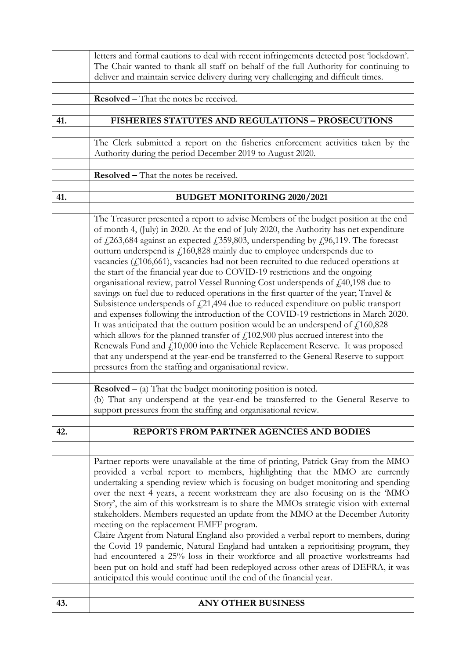|     | letters and formal cautions to deal with recent infringements detected post 'lockdown'.<br>The Chair wanted to thank all staff on behalf of the full Authority for continuing to                                                                                                                                                                                                                                                                                                                                                                                                                                                                                                                                                                                                                                                                                                                                                                                                                                                                                                                                                                                                                                                                                                                                                                                        |
|-----|-------------------------------------------------------------------------------------------------------------------------------------------------------------------------------------------------------------------------------------------------------------------------------------------------------------------------------------------------------------------------------------------------------------------------------------------------------------------------------------------------------------------------------------------------------------------------------------------------------------------------------------------------------------------------------------------------------------------------------------------------------------------------------------------------------------------------------------------------------------------------------------------------------------------------------------------------------------------------------------------------------------------------------------------------------------------------------------------------------------------------------------------------------------------------------------------------------------------------------------------------------------------------------------------------------------------------------------------------------------------------|
|     | deliver and maintain service delivery during very challenging and difficult times.                                                                                                                                                                                                                                                                                                                                                                                                                                                                                                                                                                                                                                                                                                                                                                                                                                                                                                                                                                                                                                                                                                                                                                                                                                                                                      |
|     | <b>Resolved</b> – That the notes be received.                                                                                                                                                                                                                                                                                                                                                                                                                                                                                                                                                                                                                                                                                                                                                                                                                                                                                                                                                                                                                                                                                                                                                                                                                                                                                                                           |
| 41. | <b>FISHERIES STATUTES AND REGULATIONS - PROSECUTIONS</b>                                                                                                                                                                                                                                                                                                                                                                                                                                                                                                                                                                                                                                                                                                                                                                                                                                                                                                                                                                                                                                                                                                                                                                                                                                                                                                                |
|     |                                                                                                                                                                                                                                                                                                                                                                                                                                                                                                                                                                                                                                                                                                                                                                                                                                                                                                                                                                                                                                                                                                                                                                                                                                                                                                                                                                         |
|     | The Clerk submitted a report on the fisheries enforcement activities taken by the<br>Authority during the period December 2019 to August 2020.                                                                                                                                                                                                                                                                                                                                                                                                                                                                                                                                                                                                                                                                                                                                                                                                                                                                                                                                                                                                                                                                                                                                                                                                                          |
|     | <b>Resolved - That the notes be received.</b>                                                                                                                                                                                                                                                                                                                                                                                                                                                                                                                                                                                                                                                                                                                                                                                                                                                                                                                                                                                                                                                                                                                                                                                                                                                                                                                           |
| 41. | BUDGET MONITORING 2020/2021                                                                                                                                                                                                                                                                                                                                                                                                                                                                                                                                                                                                                                                                                                                                                                                                                                                                                                                                                                                                                                                                                                                                                                                                                                                                                                                                             |
|     |                                                                                                                                                                                                                                                                                                                                                                                                                                                                                                                                                                                                                                                                                                                                                                                                                                                                                                                                                                                                                                                                                                                                                                                                                                                                                                                                                                         |
|     | The Treasurer presented a report to advise Members of the budget position at the end<br>of month 4, (July) in 2020. At the end of July 2020, the Authority has net expenditure<br>of $\frac{1}{263,684}$ against an expected $\frac{1}{359,803}$ , underspending by $\frac{1}{26,119}$ . The forecast<br>outturn underspend is $f1160,828$ mainly due to employee underspends due to<br>vacancies $(f106,661)$ , vacancies had not been recruited to due reduced operations at<br>the start of the financial year due to COVID-19 restrictions and the ongoing<br>organisational review, patrol Vessel Running Cost underspends of $f140,198$ due to<br>savings on fuel due to reduced operations in the first quarter of the year; Travel &<br>Subsistence underspends of $f_2$ 21,494 due to reduced expenditure on public transport<br>and expenses following the introduction of the COVID-19 restrictions in March 2020.<br>It was anticipated that the outturn position would be an underspend of $\text{\emph{f}}_1160,828$<br>which allows for the planned transfer of $f_1(102,900)$ plus accrued interest into the<br>Renewals Fund and $f_{1}10,000$ into the Vehicle Replacement Reserve. It was proposed<br>that any underspend at the year-end be transferred to the General Reserve to support<br>pressures from the staffing and organisational review. |
|     | <b>Resolved</b> $-$ (a) That the budget monitoring position is noted.                                                                                                                                                                                                                                                                                                                                                                                                                                                                                                                                                                                                                                                                                                                                                                                                                                                                                                                                                                                                                                                                                                                                                                                                                                                                                                   |
|     | (b) That any underspend at the year-end be transferred to the General Reserve to<br>support pressures from the staffing and organisational review.                                                                                                                                                                                                                                                                                                                                                                                                                                                                                                                                                                                                                                                                                                                                                                                                                                                                                                                                                                                                                                                                                                                                                                                                                      |
| 42. | REPORTS FROM PARTNER AGENCIES AND BODIES                                                                                                                                                                                                                                                                                                                                                                                                                                                                                                                                                                                                                                                                                                                                                                                                                                                                                                                                                                                                                                                                                                                                                                                                                                                                                                                                |
|     |                                                                                                                                                                                                                                                                                                                                                                                                                                                                                                                                                                                                                                                                                                                                                                                                                                                                                                                                                                                                                                                                                                                                                                                                                                                                                                                                                                         |
|     | Partner reports were unavailable at the time of printing, Patrick Gray from the MMO<br>provided a verbal report to members, highlighting that the MMO are currently<br>undertaking a spending review which is focusing on budget monitoring and spending<br>over the next 4 years, a recent workstream they are also focusing on is the 'MMO<br>Story', the aim of this workstream is to share the MMOs strategic vision with external<br>stakeholders. Members requested an update from the MMO at the December Autority<br>meeting on the replacement EMFF program.<br>Claire Argent from Natural England also provided a verbal report to members, during<br>the Covid 19 pandemic, Natural England had untaken a reprioritising program, they<br>had encountered a 25% loss in their workforce and all proactive workstreams had<br>been put on hold and staff had been redeployed across other areas of DEFRA, it was<br>anticipated this would continue until the end of the financial year.                                                                                                                                                                                                                                                                                                                                                                      |
| 43. | <b>ANY OTHER BUSINESS</b>                                                                                                                                                                                                                                                                                                                                                                                                                                                                                                                                                                                                                                                                                                                                                                                                                                                                                                                                                                                                                                                                                                                                                                                                                                                                                                                                               |